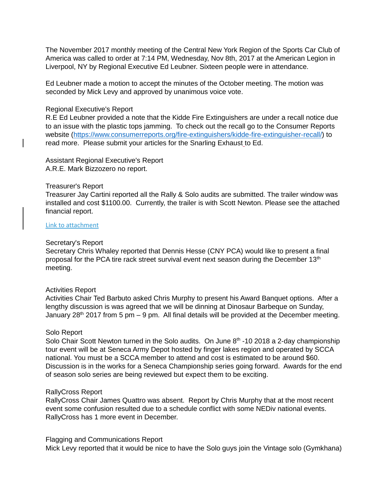The November 2017 monthly meeting of the Central New York Region of the Sports Car Club of America was called to order at 7:14 PM, Wednesday, Nov 8th, 2017 at the American Legion in Liverpool, NY by Regional Executive Ed Leubner. Sixteen people were in attendance.

Ed Leubner made a motion to accept the minutes of the October meeting. The motion was seconded by Mick Levy and approved by unanimous voice vote.

# Regional Executive's Report

R.E Ed Leubner provided a note that the Kidde Fire Extinguishers are under a recall notice due to an issue with the plastic tops jamming. To check out the recall go to the Consumer Reports website [\(https://www.consumerreports.org/fire-extinguishers/kidde-fire-extinguisher-recall/\)](https://www.consumerreports.org/fire-extinguishers/kidde-fire-extinguisher-recall/) to read more. Please submit your articles for the Snarling Exhaust to Ed.

Assistant Regional Executive's Report A.R.E. Mark Bizzozero no report.

### Treasurer's Report

Treasurer Jay Cartini reported all the Rally & Solo audits are submitted. The trailer window was installed and cost \$1100.00. Currently, the trailer is with Scott Newton. Please see the attached financial report.

## [Link to attachment](https://www.cny-scca.com/meeting_minutes/2017_11_treasury.pdf)

#### Secretary's Report

Secretary Chris Whaley reported that Dennis Hesse (CNY PCA) would like to present a final proposal for the PCA tire rack street survival event next season during the December 13<sup>th</sup> meeting.

### Activities Report

Activities Chair Ted Barbuto asked Chris Murphy to present his Award Banquet options. After a lengthy discussion is was agreed that we will be dinning at Dinosaur Barbeque on Sunday, January  $28<sup>th</sup>$  2017 from 5 pm – 9 pm. All final details will be provided at the December meeting.

### Solo Report

Solo Chair Scott Newton turned in the Solo audits. On June 8<sup>th</sup> -10 2018 a 2-day championship tour event will be at Seneca Army Depot hosted by finger lakes region and operated by SCCA national. You must be a SCCA member to attend and cost is estimated to be around \$60. Discussion is in the works for a Seneca Championship series going forward. Awards for the end of season solo series are being reviewed but expect them to be exciting.

### RallyCross Report

RallyCross Chair James Quattro was absent. Report by Chris Murphy that at the most recent event some confusion resulted due to a schedule conflict with some NEDiv national events. RallyCross has 1 more event in December.

#### Flagging and Communications Report

Mick Levy reported that it would be nice to have the Solo guys join the Vintage solo (Gymkhana)